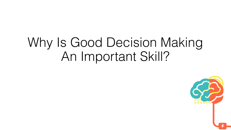## Why Is Good Decision Making An Important Skill?

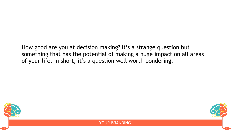How good are you at decision making? It's a strange question but something that has the potential of making a huge impact on all areas of your life. In short, it's a question well worth pondering.





YOUR BRANDING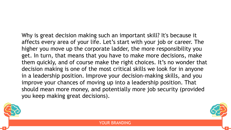Why is great decision making such an important skill? It's because it affects every area of your life. Let's start with your job or career. The higher you move up the corporate ladder, the more responsibility you get. In turn, that means that you have to make more decisions, make them quickly, and of course make the right choices. It's no wonder that decision making is one of the most critical skills we look for in anyone in a leadership position. Improve your decision-making skills, and you improve your chances of moving up into a leadership position. That should mean more money, and potentially more job security (provided





you keep making great decisions).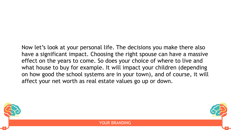Now let's look at your personal life. The decisions you make there also have a significant impact. Choosing the right spouse can have a massive effect on the years to come. So does your choice of where to live and what house to buy for example. It will impact your children (depending on how good the school systems are in your town), and of course, it will affect your net worth as real estate values go up or down.



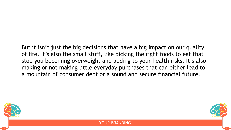But it isn't just the big decisions that have a big impact on our quality of life. It's also the small stuff, like picking the right foods to eat that stop you becoming overweight and adding to your health risks. It's also making or not making little everyday purchases that can either lead to a mountain of consumer debt or a sound and secure financial future.



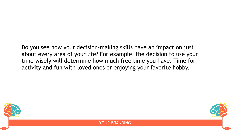Do you see how your decision-making skills have an impact on just about every area of your life? For example, the decision to use your time wisely will determine how much free time you have. Time for activity and fun with loved ones or enjoying your favorite hobby.





YOUR BRANDING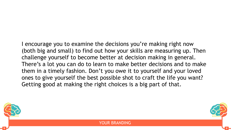I encourage you to examine the decisions you're making right now (both big and small) to find out how your skills are measuring up. Then challenge yourself to become better at decision making in general. There's a lot you can do to learn to make better decisions and to make them in a timely fashion. Don't you owe it to yourself and your loved ones to give yourself the best possible shot to craft the life you want? Getting good at making the right choices is a big part of that.